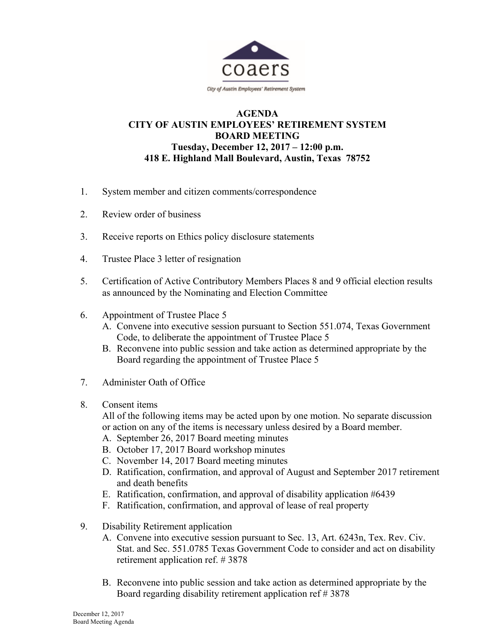

## **AGENDA CITY OF AUSTIN EMPLOYEES' RETIREMENT SYSTEM BOARD MEETING Tuesday, December 12, 2017 – 12:00 p.m. 418 E. Highland Mall Boulevard, Austin, Texas 78752**

- 1. System member and citizen comments/correspondence
- 2. Review order of business
- 3. Receive reports on Ethics policy disclosure statements
- 4. Trustee Place 3 letter of resignation
- 5. Certification of Active Contributory Members Places 8 and 9 official election results as announced by the Nominating and Election Committee
- 6. Appointment of Trustee Place 5
	- A. Convene into executive session pursuant to Section 551.074, Texas Government Code, to deliberate the appointment of Trustee Place 5
	- B. Reconvene into public session and take action as determined appropriate by the Board regarding the appointment of Trustee Place 5
- 7. Administer Oath of Office
- 8. Consent items

All of the following items may be acted upon by one motion. No separate discussion or action on any of the items is necessary unless desired by a Board member.

- A. September 26, 2017 Board meeting minutes
- B. October 17, 2017 Board workshop minutes
- C. November 14, 2017 Board meeting minutes
- D. Ratification, confirmation, and approval of August and September 2017 retirement and death benefits
- E. Ratification, confirmation, and approval of disability application #6439
- F. Ratification, confirmation, and approval of lease of real property
- 9. Disability Retirement application
	- A. Convene into executive session pursuant to Sec. 13, Art. 6243n, Tex. Rev. Civ. Stat. and Sec. 551.0785 Texas Government Code to consider and act on disability retirement application ref. # 3878
	- B. Reconvene into public session and take action as determined appropriate by the Board regarding disability retirement application ref # 3878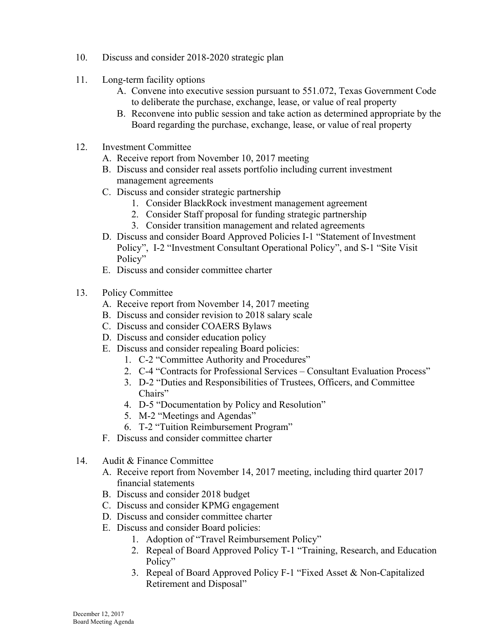- 10. Discuss and consider 2018-2020 strategic plan
- 11. Long-term facility options
	- A. Convene into executive session pursuant to 551.072, Texas Government Code to deliberate the purchase, exchange, lease, or value of real property
	- B. Reconvene into public session and take action as determined appropriate by the Board regarding the purchase, exchange, lease, or value of real property
- 12. Investment Committee
	- A. Receive report from November 10, 2017 meeting
	- B. Discuss and consider real assets portfolio including current investment management agreements
	- C. Discuss and consider strategic partnership
		- 1. Consider BlackRock investment management agreement
		- 2. Consider Staff proposal for funding strategic partnership
		- 3. Consider transition management and related agreements
	- D. Discuss and consider Board Approved Policies I-1 "Statement of Investment Policy", I-2 "Investment Consultant Operational Policy", and S-1 "Site Visit Policy"
	- E. Discuss and consider committee charter
- 13. Policy Committee
	- A. Receive report from November 14, 2017 meeting
	- B. Discuss and consider revision to 2018 salary scale
	- C. Discuss and consider COAERS Bylaws
	- D. Discuss and consider education policy
	- E. Discuss and consider repealing Board policies:
		- 1. C-2 "Committee Authority and Procedures"
		- 2. C-4 "Contracts for Professional Services Consultant Evaluation Process"
		- 3. D-2 "Duties and Responsibilities of Trustees, Officers, and Committee Chairs"
		- 4. D-5 "Documentation by Policy and Resolution"
		- 5. M-2 "Meetings and Agendas"
		- 6. T-2 "Tuition Reimbursement Program"
	- F. Discuss and consider committee charter
- 14. Audit & Finance Committee
	- A. Receive report from November 14, 2017 meeting, including third quarter 2017 financial statements
	- B. Discuss and consider 2018 budget
	- C. Discuss and consider KPMG engagement
	- D. Discuss and consider committee charter
	- E. Discuss and consider Board policies:
		- 1. Adoption of "Travel Reimbursement Policy"
		- 2. Repeal of Board Approved Policy T-1 "Training, Research, and Education Policy"
		- 3. Repeal of Board Approved Policy F-1 "Fixed Asset & Non-Capitalized Retirement and Disposal"